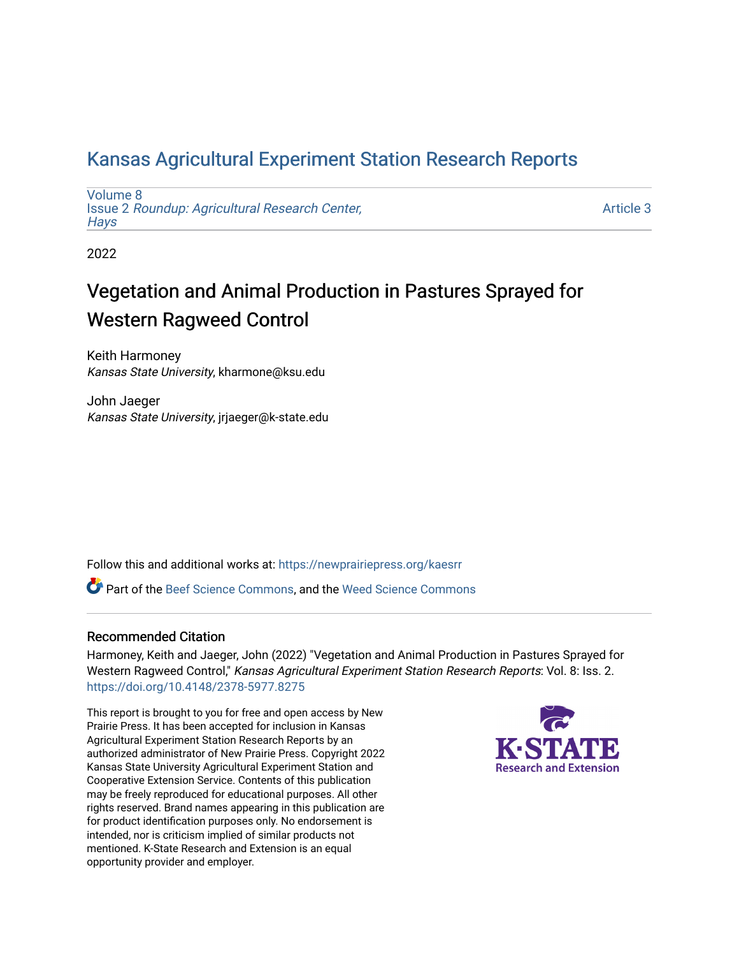## [Kansas Agricultural Experiment Station Research Reports](https://newprairiepress.org/kaesrr)

[Volume 8](https://newprairiepress.org/kaesrr/vol8) Issue 2 [Roundup: Agricultural Research Center,](https://newprairiepress.org/kaesrr/vol8/iss2)  **Hays** 

[Article 3](https://newprairiepress.org/kaesrr/vol8/iss2/3) 

2022

# Vegetation and Animal Production in Pastures Sprayed for Western Ragweed Control

Keith Harmoney Kansas State University, kharmone@ksu.edu

John Jaeger Kansas State University, jrjaeger@k-state.edu

Follow this and additional works at: [https://newprairiepress.org/kaesrr](https://newprairiepress.org/kaesrr?utm_source=newprairiepress.org%2Fkaesrr%2Fvol8%2Fiss2%2F3&utm_medium=PDF&utm_campaign=PDFCoverPages) 

**P** Part of the [Beef Science Commons,](http://network.bepress.com/hgg/discipline/1404?utm_source=newprairiepress.org%2Fkaesrr%2Fvol8%2Fiss2%2F3&utm_medium=PDF&utm_campaign=PDFCoverPages) and the Weed Science Commons

### Recommended Citation

Harmoney, Keith and Jaeger, John (2022) "Vegetation and Animal Production in Pastures Sprayed for Western Ragweed Control," Kansas Agricultural Experiment Station Research Reports: Vol. 8: Iss. 2. <https://doi.org/10.4148/2378-5977.8275>

This report is brought to you for free and open access by New Prairie Press. It has been accepted for inclusion in Kansas Agricultural Experiment Station Research Reports by an authorized administrator of New Prairie Press. Copyright 2022 Kansas State University Agricultural Experiment Station and Cooperative Extension Service. Contents of this publication may be freely reproduced for educational purposes. All other rights reserved. Brand names appearing in this publication are for product identification purposes only. No endorsement is intended, nor is criticism implied of similar products not mentioned. K-State Research and Extension is an equal opportunity provider and employer.

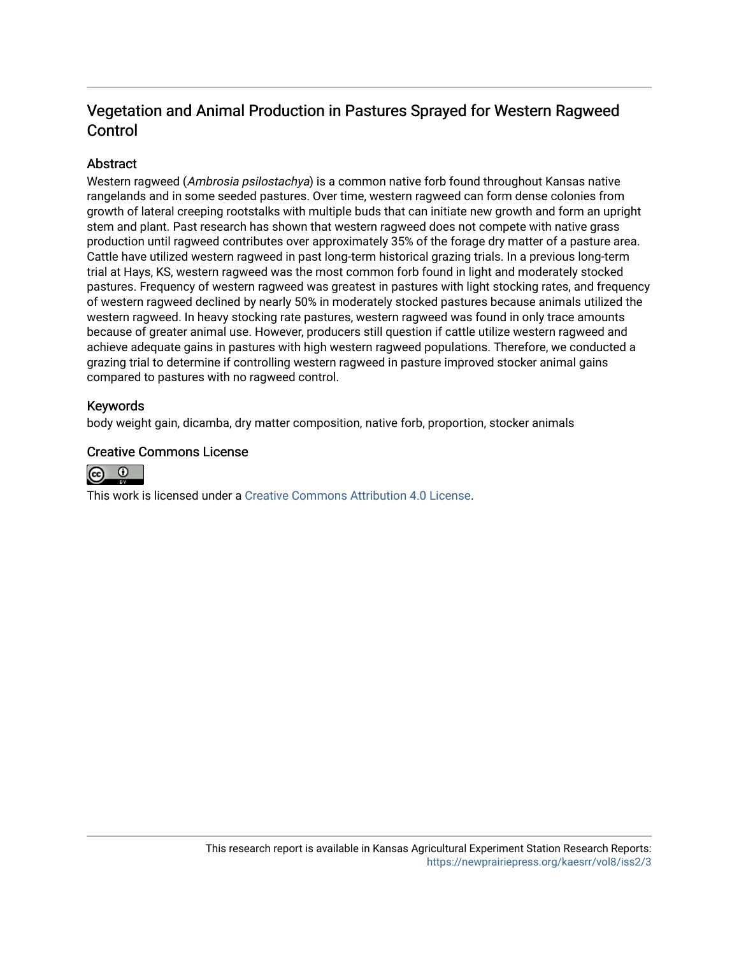## Vegetation and Animal Production in Pastures Sprayed for Western Ragweed Control

## **Abstract**

Western ragweed (Ambrosia psilostachya) is a common native forb found throughout Kansas native rangelands and in some seeded pastures. Over time, western ragweed can form dense colonies from growth of lateral creeping rootstalks with multiple buds that can initiate new growth and form an upright stem and plant. Past research has shown that western ragweed does not compete with native grass production until ragweed contributes over approximately 35% of the forage dry matter of a pasture area. Cattle have utilized western ragweed in past long-term historical grazing trials. In a previous long-term trial at Hays, KS, western ragweed was the most common forb found in light and moderately stocked pastures. Frequency of western ragweed was greatest in pastures with light stocking rates, and frequency of western ragweed declined by nearly 50% in moderately stocked pastures because animals utilized the western ragweed. In heavy stocking rate pastures, western ragweed was found in only trace amounts because of greater animal use. However, producers still question if cattle utilize western ragweed and achieve adequate gains in pastures with high western ragweed populations. Therefore, we conducted a grazing trial to determine if controlling western ragweed in pasture improved stocker animal gains compared to pastures with no ragweed control.

### Keywords

body weight gain, dicamba, dry matter composition, native forb, proportion, stocker animals

#### Creative Commons License



This work is licensed under a [Creative Commons Attribution 4.0 License](https://creativecommons.org/licenses/by/4.0/).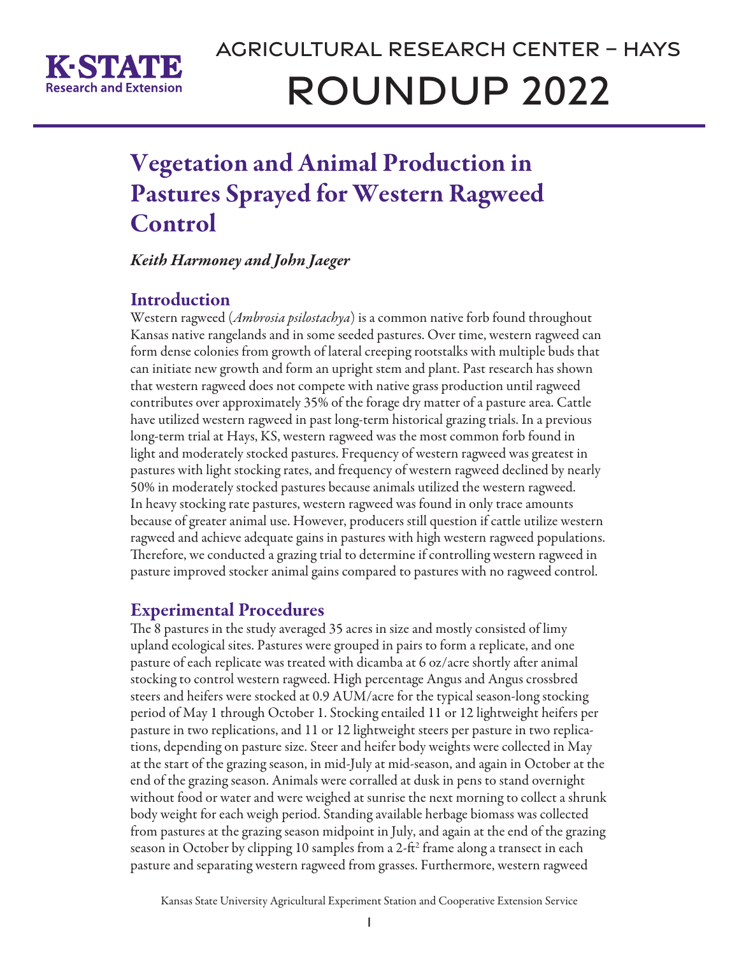

# Vegetation and Animal Production in Pastures Sprayed for Western Ragweed Control

*Keith Harmoney and John Jaeger*

## **Introduction**

Western ragweed (*Ambrosia psilostachya*) is a common native forb found throughout Kansas native rangelands and in some seeded pastures. Over time, western ragweed can form dense colonies from growth of lateral creeping rootstalks with multiple buds that can initiate new growth and form an upright stem and plant. Past research has shown that western ragweed does not compete with native grass production until ragweed contributes over approximately 35% of the forage dry matter of a pasture area. Cattle have utilized western ragweed in past long-term historical grazing trials. In a previous long-term trial at Hays, KS, western ragweed was the most common forb found in light and moderately stocked pastures. Frequency of western ragweed was greatest in pastures with light stocking rates, and frequency of western ragweed declined by nearly 50% in moderately stocked pastures because animals utilized the western ragweed. In heavy stocking rate pastures, western ragweed was found in only trace amounts because of greater animal use. However, producers still question if cattle utilize western ragweed and achieve adequate gains in pastures with high western ragweed populations. Therefore, we conducted a grazing trial to determine if controlling western ragweed in pasture improved stocker animal gains compared to pastures with no ragweed control.

## Experimental Procedures

The 8 pastures in the study averaged 35 acres in size and mostly consisted of limy upland ecological sites. Pastures were grouped in pairs to form a replicate, and one pasture of each replicate was treated with dicamba at 6 oz/acre shortly after animal stocking to control western ragweed. High percentage Angus and Angus crossbred steers and heifers were stocked at 0.9 AUM/acre for the typical season-long stocking period of May 1 through October 1. Stocking entailed 11 or 12 lightweight heifers per pasture in two replications, and 11 or 12 lightweight steers per pasture in two replications, depending on pasture size. Steer and heifer body weights were collected in May at the start of the grazing season, in mid-July at mid-season, and again in October at the end of the grazing season. Animals were corralled at dusk in pens to stand overnight without food or water and were weighed at sunrise the next morning to collect a shrunk body weight for each weigh period. Standing available herbage biomass was collected from pastures at the grazing season midpoint in July, and again at the end of the grazing season in October by clipping 10 samples from a 2-ft<sup>2</sup> frame along a transect in each pasture and separating western ragweed from grasses. Furthermore, western ragweed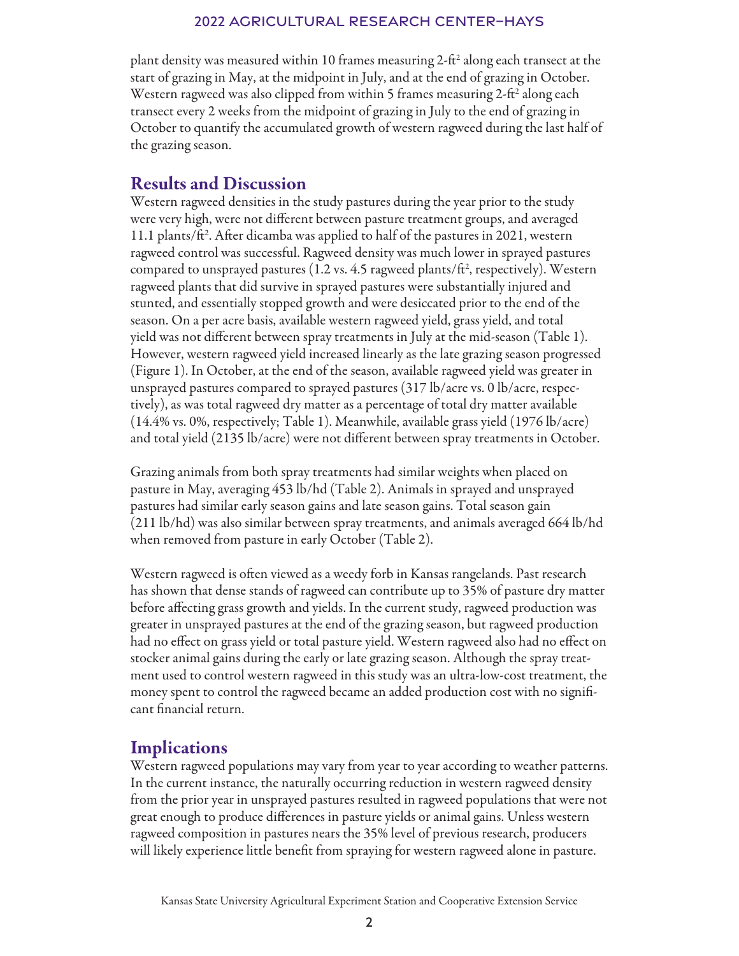#### 2022 Agricultural Research Center–Hays

plant density was measured within 10 frames measuring 2-ft<sup>2</sup> along each transect at the start of grazing in May, at the midpoint in July, and at the end of grazing in October. Western ragweed was also clipped from within 5 frames measuring 2-ft<sup>2</sup> along each transect every 2 weeks from the midpoint of grazing in July to the end of grazing in October to quantify the accumulated growth of western ragweed during the last half of the grazing season.

## Results and Discussion

Western ragweed densities in the study pastures during the year prior to the study were very high, were not different between pasture treatment groups, and averaged 11.1 plants/ft<sup>2</sup>. After dicamba was applied to half of the pastures in 2021, western ragweed control was successful. Ragweed density was much lower in sprayed pastures compared to unsprayed pastures (1.2 vs. 4.5 ragweed plants/ft<sup>2</sup>, respectively). Western ragweed plants that did survive in sprayed pastures were substantially injured and stunted, and essentially stopped growth and were desiccated prior to the end of the season. On a per acre basis, available western ragweed yield, grass yield, and total yield was not different between spray treatments in July at the mid-season (Table 1). However, western ragweed yield increased linearly as the late grazing season progressed (Figure 1). In October, at the end of the season, available ragweed yield was greater in unsprayed pastures compared to sprayed pastures (317 lb/acre vs. 0 lb/acre, respectively), as was total ragweed dry matter as a percentage of total dry matter available (14.4% vs. 0%, respectively; Table 1). Meanwhile, available grass yield (1976 lb/acre) and total yield (2135 lb/acre) were not different between spray treatments in October.

Grazing animals from both spray treatments had similar weights when placed on pasture in May, averaging 453 lb/hd (Table 2). Animals in sprayed and unsprayed pastures had similar early season gains and late season gains. Total season gain (211 lb/hd) was also similar between spray treatments, and animals averaged 664 lb/hd when removed from pasture in early October (Table 2).

Western ragweed is often viewed as a weedy forb in Kansas rangelands. Past research has shown that dense stands of ragweed can contribute up to 35% of pasture dry matter before affecting grass growth and yields. In the current study, ragweed production was greater in unsprayed pastures at the end of the grazing season, but ragweed production had no effect on grass yield or total pasture yield. Western ragweed also had no effect on stocker animal gains during the early or late grazing season. Although the spray treatment used to control western ragweed in this study was an ultra-low-cost treatment, the money spent to control the ragweed became an added production cost with no significant financial return.

## **Implications**

Western ragweed populations may vary from year to year according to weather patterns. In the current instance, the naturally occurring reduction in western ragweed density from the prior year in unsprayed pastures resulted in ragweed populations that were not great enough to produce differences in pasture yields or animal gains. Unless western ragweed composition in pastures nears the 35% level of previous research, producers will likely experience little benefit from spraying for western ragweed alone in pasture.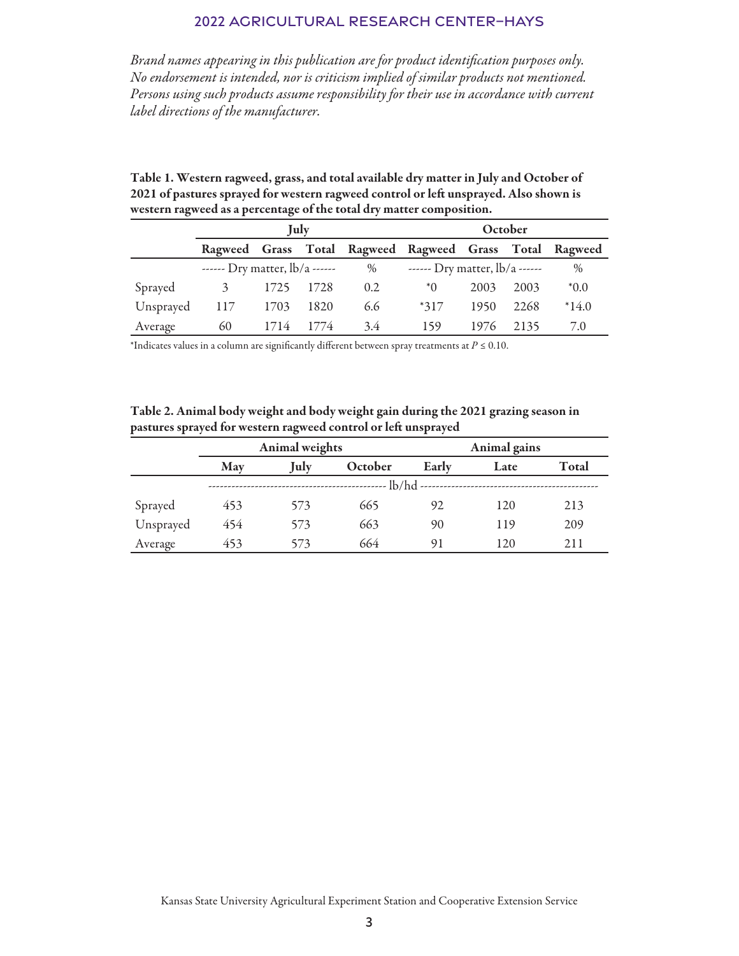## 2022 Agricultural Research Center–Hays

*Brand names appearing in this publication are for product identification purposes only. No endorsement is intended, nor is criticism implied of similar products not mentioned. Persons using such products assume responsibility for their use in accordance with current label directions of the manufacturer.*

| Table 1. Western ragweed, grass, and total available dry matter in July and October of |
|----------------------------------------------------------------------------------------|
| 2021 of pastures sprayed for western ragweed control or left unsprayed. Also shown is  |
| western ragweed as a percentage of the total dry matter composition.                   |

|           | July                             |      |      |      | October                                                 |      |      |         |
|-----------|----------------------------------|------|------|------|---------------------------------------------------------|------|------|---------|
|           |                                  |      |      |      | Ragweed Grass Total Ragweed Ragweed Grass Total Ragweed |      |      |         |
|           | ------ Dry matter, $lb/a$ ------ |      |      | $\%$ | ------ Dry matter, lb/a ------                          | $\%$ |      |         |
| Sprayed   |                                  | 1725 | 1728 | 0.2  | $*$ 0                                                   | 2003 | 2003 | $*0.0*$ |
| Unsprayed | 117                              | 1703 | 1820 | 6.6  | $*317$                                                  | 1950 | 2268 | $*14.0$ |
| Average   | 60                               | 1714 | 1774 | 3.4  | 159                                                     | 1976 | 2135 | 7.0     |

\*Indicates values in a column are significantly different between spray treatments at *P* ≤ 0.10.

Table 2. Animal body weight and body weight gain during the 2021 grazing season in pastures sprayed for western ragweed control or left unsprayed

|           |            | Animal weights |         |       | Animal gains |              |  |  |  |  |
|-----------|------------|----------------|---------|-------|--------------|--------------|--|--|--|--|
|           | May        | July           | October | Early | Late         | <b>Total</b> |  |  |  |  |
|           | $-lb/hd -$ |                |         |       |              |              |  |  |  |  |
| Sprayed   | 453        | 573            | 665     | 92    | 120          | 213          |  |  |  |  |
| Unsprayed | 454        | 573            | 663     | 90    | 119          | 209          |  |  |  |  |
| Average   | 453        | 573            | 664     | 91    | 120          | 211          |  |  |  |  |